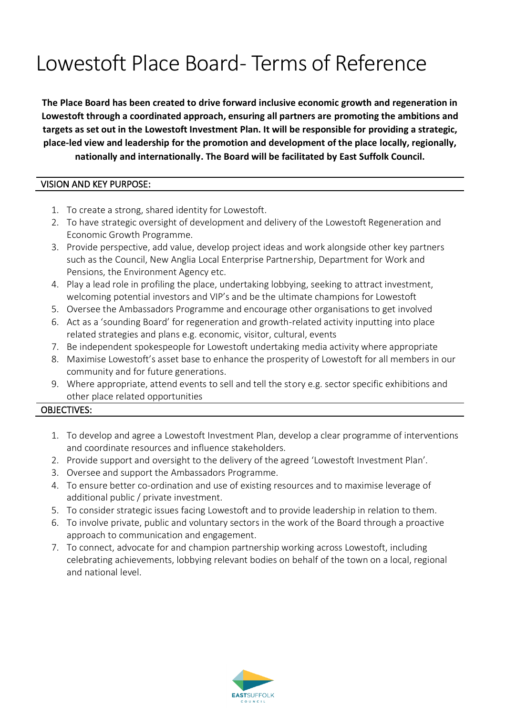# Lowestoft Place Board-Terms of Reference

**The Place Board has been created to drive forward inclusive economic growth and regeneration in Lowestoft through a coordinated approach, ensuring all partners are promoting the ambitions and targets as set out in the Lowestoft Investment Plan. It will be responsible for providing a strategic, place-led view and leadership for the promotion and development of the place locally, regionally, nationally and internationally. The Board will be facilitated by East Suffolk Council.**

## VISION AND KEY PURPOSE:

- 1. To create a strong, shared identity for Lowestoft.
- 2. To have strategic oversight of development and delivery of the Lowestoft Regeneration and Economic Growth Programme.
- 3. Provide perspective, add value, develop project ideas and work alongside other key partners such as the Council, New Anglia Local Enterprise Partnership, Department for Work and Pensions, the Environment Agency etc.
- 4. Play a lead role in profiling the place, undertaking lobbying, seeking to attract investment, welcoming potential investors and VIP's and be the ultimate champions for Lowestoft
- 5. Oversee the Ambassadors Programme and encourage other organisations to get involved
- 6. Act as a 'sounding Board' for regeneration and growth-related activity inputting into place related strategies and plans e.g. economic, visitor, cultural, events
- 7. Be independent spokespeople for Lowestoft undertaking media activity where appropriate
- 8. Maximise Lowestoft's asset base to enhance the prosperity of Lowestoft for all members in our community and for future generations.
- 9. Where appropriate, attend events to sell and tell the story e.g. sector specific exhibitions and other place related opportunities

# OBJECTIVES:

- 1. To develop and agree a Lowestoft Investment Plan, develop a clear programme of interventions and coordinate resources and influence stakeholders.
- 2. Provide support and oversight to the delivery of the agreed 'Lowestoft Investment Plan'.
- 3. Oversee and support the Ambassadors Programme.
- 4. To ensure better co-ordination and use of existing resources and to maximise leverage of additional public / private investment.
- 5. To consider strategic issues facing Lowestoft and to provide leadership in relation to them.
- 6. To involve private, public and voluntary sectors in the work of the Board through a proactive approach to communication and engagement.
- 7. To connect, advocate for and champion partnership working across Lowestoft, including celebrating achievements, lobbying relevant bodies on behalf of the town on a local, regional and national level.

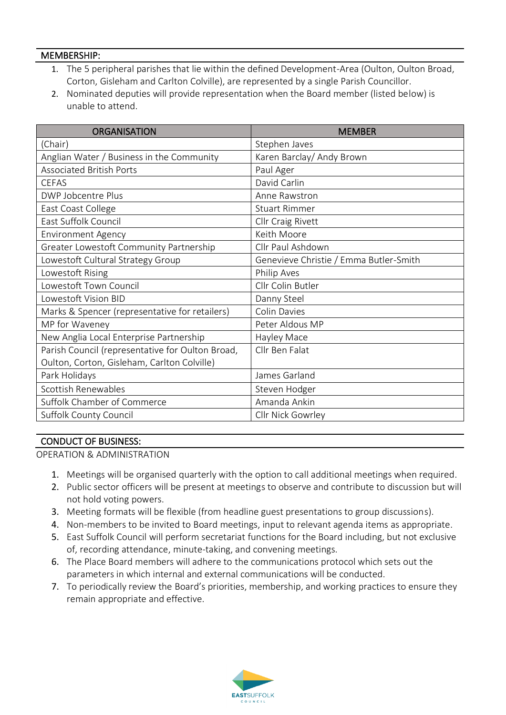#### MEMBERSHIP:

- 1. The 5 peripheral parishes that lie within the defined Development-Area (Oulton, Oulton Broad, Corton, Gisleham and Carlton Colville), are represented by a single Parish Councillor.
- 2. Nominated deputies will provide representation when the Board member (listed below) is unable to attend.

| <b>ORGANISATION</b>                              | <b>MEMBER</b>                          |
|--------------------------------------------------|----------------------------------------|
| (Chair)                                          | Stephen Javes                          |
| Anglian Water / Business in the Community        | Karen Barclay/ Andy Brown              |
| <b>Associated British Ports</b>                  | Paul Ager                              |
| <b>CEFAS</b>                                     | David Carlin                           |
| DWP Jobcentre Plus                               | Anne Rawstron                          |
| East Coast College                               | <b>Stuart Rimmer</b>                   |
| East Suffolk Council                             | Cllr Craig Rivett                      |
| <b>Environment Agency</b>                        | Keith Moore                            |
| Greater Lowestoft Community Partnership          | Cllr Paul Ashdown                      |
| Lowestoft Cultural Strategy Group                | Genevieve Christie / Emma Butler-Smith |
| Lowestoft Rising                                 | Philip Aves                            |
| Lowestoft Town Council                           | Cllr Colin Butler                      |
| Lowestoft Vision BID                             | Danny Steel                            |
| Marks & Spencer (representative for retailers)   | Colin Davies                           |
| MP for Waveney                                   | Peter Aldous MP                        |
| New Anglia Local Enterprise Partnership          | Hayley Mace                            |
| Parish Council (representative for Oulton Broad, | Cllr Ben Falat                         |
| Oulton, Corton, Gisleham, Carlton Colville)      |                                        |
| Park Holidays                                    | James Garland                          |
| Scottish Renewables                              | Steven Hodger                          |
| Suffolk Chamber of Commerce                      | Amanda Ankin                           |
| Suffolk County Council                           | Cllr Nick Gowrley                      |

## CONDUCT OF BUSINESS:

OPERATION & ADMINISTRATION

- 1. Meetings will be organised quarterly with the option to call additional meetings when required.
- 2. Public sector officers will be present at meetings to observe and contribute to discussion but will not hold voting powers.
- 3. Meeting formats will be flexible (from headline guest presentations to group discussions).
- 4. Non-members to be invited to Board meetings, input to relevant agenda items as appropriate.
- 5. East Suffolk Council will perform secretariat functions for the Board including, but not exclusive of, recording attendance, minute-taking, and convening meetings.
- 6. The Place Board members will adhere to the communications protocol which sets out the parameters in which internal and external communications will be conducted.
- 7. To periodically review the Board's priorities, membership, and working practices to ensure they remain appropriate and effective.